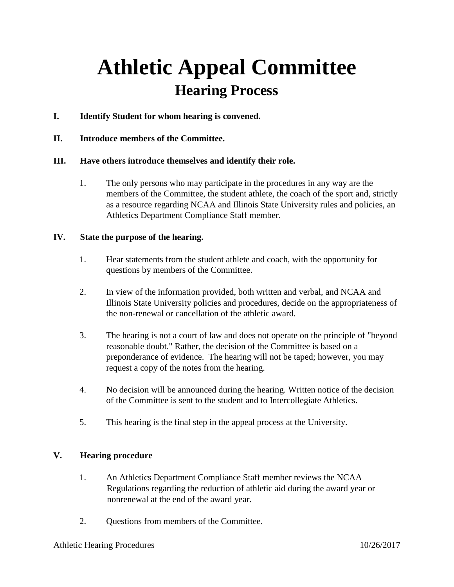# **Athletic Appeal Committee Hearing Process**

- **I. Identify Student for whom hearing is convened.**
- **II. Introduce members of the Committee.**

## **III. Have others introduce themselves and identify their role.**

1. The only persons who may participate in the procedures in any way are the members of the Committee, the student athlete, the coach of the sport and, strictly as a resource regarding NCAA and Illinois State University rules and policies, an Athletics Department Compliance Staff member.

### **IV. State the purpose of the hearing.**

- 1. Hear statements from the student athlete and coach, with the opportunity for questions by members of the Committee.
- 2. In view of the information provided, both written and verbal, and NCAA and Illinois State University policies and procedures, decide on the appropriateness of the non-renewal or cancellation of the athletic award.
- 3. The hearing is not a court of law and does not operate on the principle of "beyond reasonable doubt." Rather, the decision of the Committee is based on a preponderance of evidence. The hearing will not be taped; however, you may request a copy of the notes from the hearing.
- 4. No decision will be announced during the hearing. Written notice of the decision of the Committee is sent to the student and to Intercollegiate Athletics.
- 5. This hearing is the final step in the appeal process at the University.

### **V. Hearing procedure**

- 1. An Athletics Department Compliance Staff member reviews the NCAA Regulations regarding the reduction of athletic aid during the award year or nonrenewal at the end of the award year.
- 2. Questions from members of the Committee.